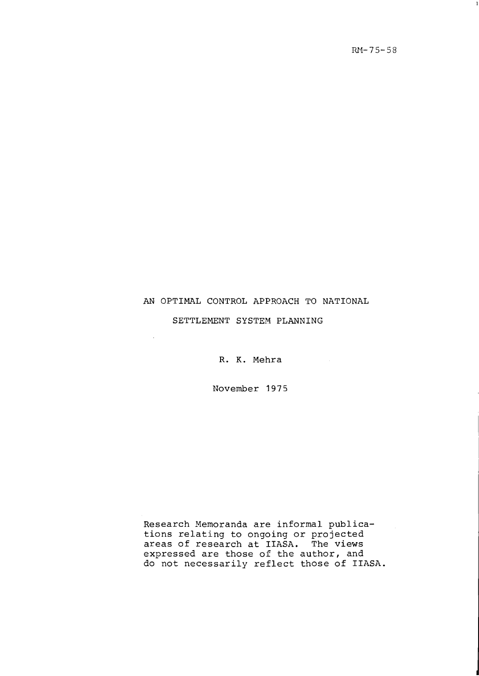# AN OPTIMAL CONTROL APPROACH TO NATIONAL **SETTLEMENT SYSTEM PLANNING**

**R. K.** Mehra

 $\sim 10^{-1}$ 

November 1975

Research Memoranda are informal publications relating to ongoing or projected areas of research at **IIASA.** The views expressed are those of the author, and do not necessarily reflect those of **IIASA.**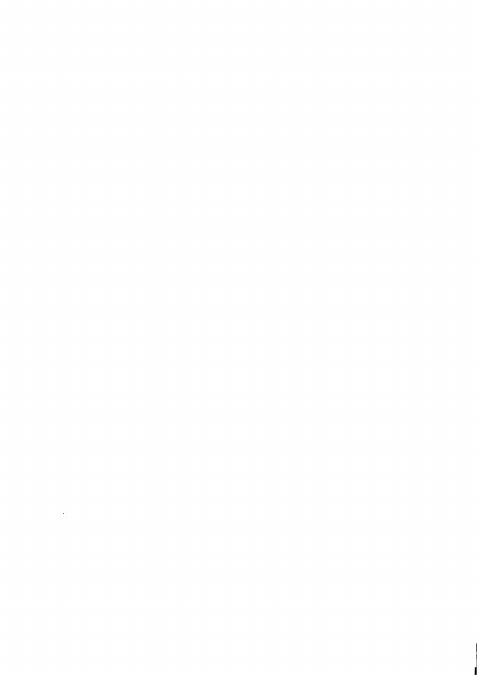$\mathcal{A}_{\mathcal{A}}$  ,  $\mathcal{A}_{\mathcal{A}}$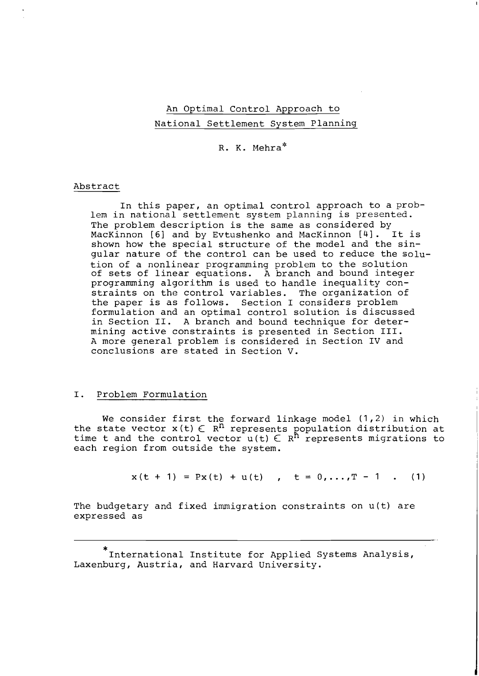# An Optimal Control Approach to National Settlement Svstem Planninq

### R. K. Mehra<sup>\*</sup>

#### Abstract

In this paper, an optimal control approach to a problem in national settlement system planning is presented. The problem description is the same as considered by MacKinnon [6] and by Evtushenko and MacKinnon [4]. It is shown how the special structure of the model and the singular nature of the control can be used to reduce the solution of a nonlinear programming problem to the solution of sets of linear equations. A branch and bound integer programming algorithm is used to handle inequality constraints on the control variables. The organization of the paper is as follows. Section I considers problem formulation and an optimal control solution is discussed in Section **11.** A branch and bound technique for determining active constraints is presented in Section 111. A more general problem is considered in Section IV and conclusions are stated in Section V.

#### I. Problem Formulation

We consider first the forward linkage model (1,2) in which the state vector  $x(t) \in R^n$  represents population distribution at time t and the control vector  $u(t) \in R^{\hbar}$  represents migrations to each region from outside the system.

 $x(t + 1) = Px(t) + u(t)$ ,  $t = 0,...,T - 1$ . (1)

The budgetary and fixed immigration constraints on u(t) are expressed as

\* International Institute for Applied Systems Analysis, Laxenburg, Austria, and Harvard University.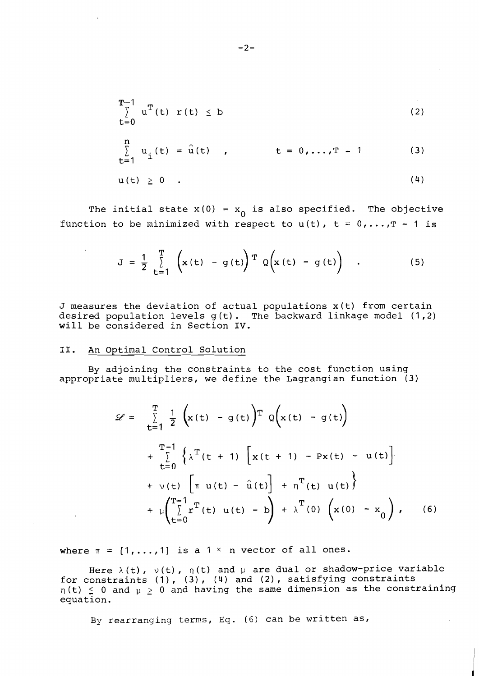$$
\sum_{t=0}^{T-1} u^{T}(t) r(t) \leq b
$$
 (2)

$$
\sum_{t=1}^{n} u_{i}(t) = \hat{u}(t) , \qquad t = 0,...,T-1
$$
 (3)

$$
u(t) \geq 0 \qquad (4)
$$

The initial state  $x(0) = x_0$  is also specified. The objective function to be minimized with respect to  $u(t)$ ,  $t = 0,...,T - 1$  is

$$
J = \frac{1}{2} \sum_{t=1}^{T} \left( x(t) - g(t) \right)^{T} Q(x(t) - g(t)) \quad . \tag{5}
$$

J measures the deviation of actual populations x(t) from certain desired population levels g(t). The backward linkage model (1,2) will be considered in Section IV.

#### **11.** An Optimal Control Solution

By adjoining the constraints to the cost function using appropriate multipliers, we define the Lagrangian function (3)

$$
\mathcal{L} = \sum_{t=1}^{T} \frac{1}{2} \left( x(t) - g(t) \right)^{T} Q(x(t) - g(t))
$$
  
+ 
$$
\sum_{t=0}^{T-1} \left\{ \lambda^{T} (t + 1) \left[ x(t + 1) - Px(t) - u(t) \right] \right\}
$$
  
+ 
$$
\nu(t) \left[ \pi u(t) - \hat{u}(t) \right] + \eta^{T} (t) u(t) \}
$$
  
+ 
$$
\mu \left( \sum_{t=0}^{T-1} r^{T} (t) u(t) - b \right) + \lambda^{T} (0) \left( x(0) - x_{0} \right), \quad (6)
$$

where  $\pi = [1, \ldots, 1]$  is a 1 x n vector of all ones.

Here  $\lambda$ (t),  $\nu$ (t),  $\eta$ (t) and  $\mu$  are dual or shadow-price variable Here  $\lambda(t)$ ,  $\nu(t)$ ,  $\nu(t)$  and  $\mu$  are dual or shadow-price variation for constraints (1), (3), (4) and (2), satisfying constraints n(t) *5* 0 and **p** *2* 0 and having the same dimension as the constraining equation.

By rearranging terms, Eq. (6) can be written as,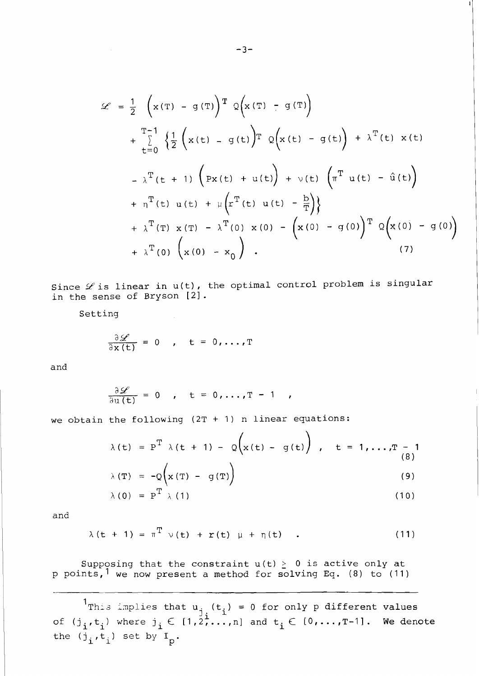$$
\mathcal{L} = \frac{1}{2} \left( x(T) - g(T) \right)^T Q\left( x(T) - g(T) \right)
$$
  
+ 
$$
\frac{T-1}{L} \left\{ \frac{1}{2} \left( x(t) - g(t) \right)^T Q\left( x(t) - g(t) \right) + \lambda^T(t) x(t) \right\}
$$
  
- 
$$
\lambda^T(t + 1) \left( px(t) + u(t) \right) + \nu(t) \left( \pi^T u(t) - \hat{u}(t) \right)
$$
  
+ 
$$
\eta^T(t) u(t) + \mu \left( r^T(t) u(t) - \frac{b}{T} \right) \right\}
$$
  
+ 
$$
\lambda^T(T) x(T) - \lambda^T(0) x(0) - \left( x(0) - g(0) \right)^T Q\left( x(0) - g(0) \right)
$$
  
+ 
$$
\lambda^T(0) \left( x(0) - x_0 \right) .
$$
 (7)

Since  $\mathscr L$  is linear in  $u(t)$ , the optimal control problem is singular in the sense of Bryson [2].

Setting

$$
\frac{\partial \mathscr{L}}{\partial x(t)} = 0 \quad , \quad t = 0, \ldots, T
$$

and

$$
\frac{\partial \mathscr{L}}{\partial u(t)} = 0 \quad , \quad t = 0, \ldots, T-1 \quad ,
$$

we obtain the following  $(2T + 1)$  n linear equations:

$$
\lambda(t) = P^{T} \lambda(t + 1) - Q(x(t) - g(t))
$$
,  $t = 1,...,T - 1$  (8)

$$
\lambda(T) = -Q\left(x(T) - g(T)\right)
$$
\n(9)

$$
\lambda(0) = P^{\mathrm{T}} \lambda(1) \tag{10}
$$

and

$$
\lambda(t + 1) = \pi^T \nu(t) + r(t) \mu + \eta(t) \qquad (11)
$$

Supposing that the constraint u(t) *2* 0 is active only at p points,  $^1$  we now present a method for solving Eq. (8) to (11)

<sup>1</sup>This implies that  $u_j$  ( $t_i$ ) = 0 for only p different values<br>of (j<sub>i</sub>,t<sub>i</sub>) where j<sub>i</sub>  $\in$  [1,2,...,n] and t<sub>i</sub>  $\in$  [0,...,T-1]. We denote the  $(\overline{j}_i, \overline{t}_i)$  set by  $I_p$ .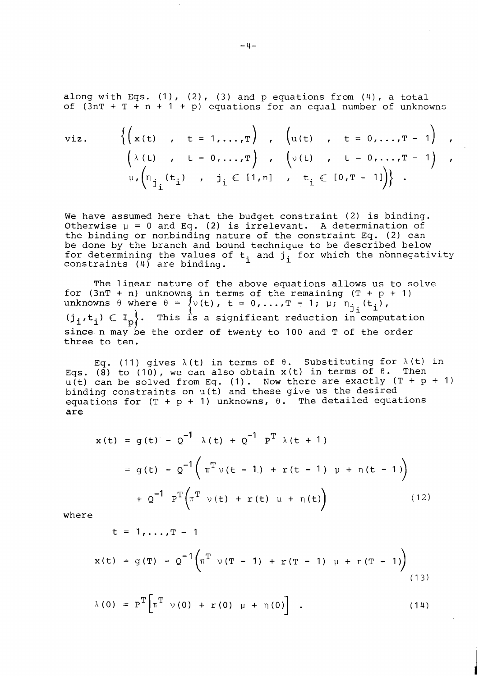along with Eqs.  $(1)$ ,  $(2)$ ,  $(3)$  and p equations from  $(4)$ , a total of  $(3nT + T + n + 1 + p)$  equations for an equal number of unknowns

viz. 
$$
\{ (x(t), t = 1,...,T), (u(t), t = 0,...,T-1), (x(t), t = 0,...,T-1), (y(t), t = 0,...,T-1), (y(t), t = 0,...,T-1), (y(t), t = 0,...,T-1) \}
$$

We have assumed here that the budget constraint (2) is binding. Otherwise  $\mu = 0$  and Eq. (2) is irrelevant. A determination of the binding or nonbinding nature of the constraint Eq. (2) can be done by the branch and bound technique to be described below for determining the values of  $t_i$  and  $j_i$  for which the nonnegativity<br>constraints (4) are binding.

The linear nature of the above equations allows us to solve for (3nT + n) unknowns in terms of the remaining (T + p + 1)<br>unknowns  $\theta$  where  $\theta = \{v(t), t = 0, ..., T - 1; p; n_{i} (t_{i}),$  $(\mathbf{1}_{i}, \mathbf{t}_{i}) \in \mathbb{I}_{n}$ . This is a significant reduction in computation since n may be the order of twenty to 100 and T of the order three to ten.

Eq. (11) gives  $\lambda(t)$  in terms of  $\theta$ . Substituting for  $\lambda(t)$  in Eqs. (8) to (10), we can also obtain  $x(t)$  in terms of  $\theta$ . Then  $\mathfrak{u}\left(\mathsf{t}\right)$  can be solved from Eq. (1). Now there are exactly  $(\mathtt{T}~+~\mathtt{p}~+~\mathtt{1})$ binding constraints on u(t) and these give us the desired equations for  $(T + p + 1)$  unknowns,  $\theta$ . The detailed equations are

$$
x(t) = g(t) - Q^{-1} \lambda(t) + Q^{-1} P^{T} \lambda(t + 1)
$$
  
=  $g(t) - Q^{-1} \left( \pi^{T} \nu(t - 1) + r(t - 1) \mu + \eta(t - 1) \right)$   
+  $Q^{-1} P^{T} \left( \pi^{T} \nu(t) + r(t) \mu + \eta(t) \right)$  (12)

where

 $t = 1, ..., T - 1$ 

$$
\mathbf{x}(t) = g(T) - Q^{-1} \left( \pi^{T} \nu (T - 1) + r(T - 1) \mu + \eta (T - 1) \right)
$$
\n(13)

$$
\lambda(0) = P^{T} \left[ \pi^{T} \vee (0) + r(0) \mu + \eta(0) \right] . \qquad (14)
$$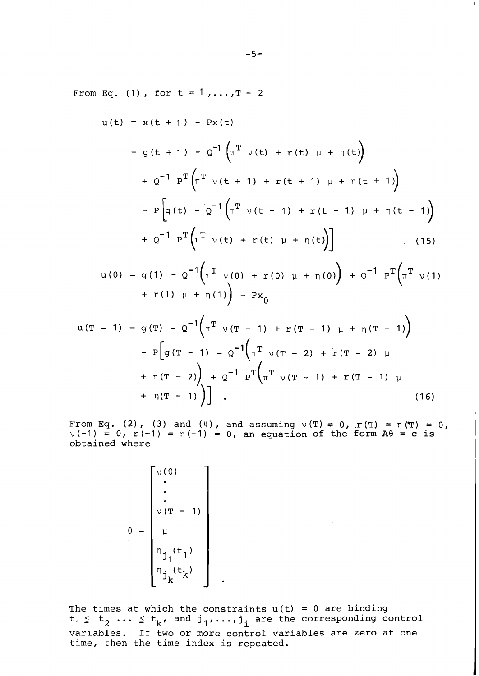From Eq. (1), for  $t = 1,..., T - 2$ 

$$
u(t) = x(t + 1) - Px(t)
$$
  
\n
$$
= g(t + 1) - Q^{-1} \left( \pi^{T} v(t) + r(t) \mu + \eta(t) \right)
$$
  
\n
$$
+ Q^{-1} P^{T} \left( \pi^{T} v(t + 1) + r(t + 1) \mu + \eta(t + 1) \right)
$$
  
\n
$$
- P \left[ g(t) - Q^{-1} \left( \pi^{T} v(t - 1) + r(t - 1) \mu + \eta(t - 1) \right) \right]
$$
  
\n
$$
+ Q^{-1} P^{T} \left( \pi^{T} v(t) + r(t) \mu + \eta(t) \right)
$$
  
\n
$$
u(0) = g(1) - Q^{-1} \left( \pi^{T} v(0) + r(0) \mu + \eta(0) \right) + Q^{-1} P^{T} \left( \pi^{T} v(1) \right)
$$

$$
u(0) = g(1) - Q^{-1} \left( \pi^{1} v(0) + r(0) \mu + \eta(0) \right) + Q^{-1} P^{T} \left( \pi^{T} v(1) + r(1) \mu + \eta(1) \right) - Px_{0}
$$

$$
u(T - 1) = g(T) - Q^{-1} \left( \pi^{T} \nu (T - 1) + r(T - 1) \mu + \eta (T - 1) \right)
$$
  
-  $P \left[ g(T - 1) - Q^{-1} \left( \pi^{T} \nu (T - 2) + r(T - 2) \mu \right) + \eta (T - 2) \right) + Q^{-1} P^{T} \left( \pi^{T} \nu (T - 1) + r(T - 1) \mu + \eta (T - 1) \right) .$  (16)

From Eq. (2), (3) and (4), and assuming  $v(T) = 0$ ,  $r(T) = \eta(T) = 0$ ,  $v(-1) = 0$ ,  $r(-1) = r(-1) = 0$ , an equation of the form  $A\theta = c$  is obtained where

$$
\theta = \begin{bmatrix}\nv(0) \\
\vdots \\
v(T - 1) \\
\vdots \\
u \\
n_{j_1}(t_1) \\
n_{j_k}(t_k)\n\end{bmatrix}
$$

The times at which the constraints  $u(t) = 0$  are binding<br>  $t_1 \leq t_2 \dots \leq t_k$ , and  $j_1, \dots, j_i$  are the corresponding control variables. If two or more control variables are zero at one time, then the time index is repeated.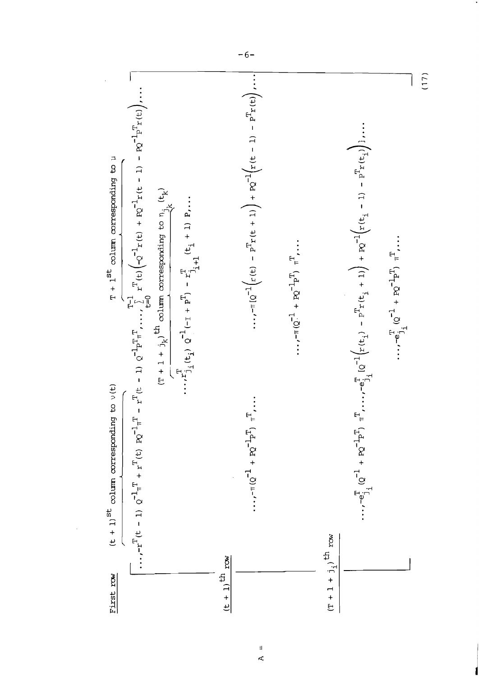$$
\begin{bmatrix}\n\text{First: } \text{row} \\
\text{First: } \text{row} \\
\hline\n\end{bmatrix} \begin{bmatrix}\n\text{if } \text{all } x \text{ is a sum corresponding to } y \text{ is a sum corresponding to } y \text{ is a sum corresponding to } y \text{ is a sum corresponding to } y \text{ is a sum corresponding to } y \text{ is a sum of } y \text{ is a sum of } y \text{ is a sum of } y \text{ is a sum of } y \text{ is a sum of } y \text{ is a sum of } y \text{ is a sum of } y \text{ is a sum of } y \text{ is a sum of } y \text{ is a sum of } y \text{ is a sum of } y \text{ is a sum of } y \text{ is a sum of } y \text{ is a sum of } y \text{ is a sum of } y \text{ is a sum of } y \text{ is a sum of } y \text{ is a sum of } y \text{ is a sum of } y \text{ is a sum of } y \text{ is a sum of } y \text{ is a sum of } y \text{ is a sum of } y \text{ is a sum of } y \text{ is a sum of } y \text{ is a sum of } y \text{ is a sum of } y \text{ is a sum of } y \text{ is a sum of } y \text{ is a sum of } y \text{ is a sum of } y \text{ is a sum of } y \text{ is a sum of } y \text{ is a sum of } y \text{ is a sum of } y \text{ is a sum of } y \text{ is a sum of } y \text{ is a sum of } y \text{ is a sum of } y \text{ is a sum of } y \text{ is a sum of } y \text{ is a sum of } y \text{ is a sum of } y \text{ is a sum of } y \text{ is a sum of } y \text{ is a sum of } y \text{ is a sum of } y \text{ is a sum of } y \text{ is a sum of } y \text{ is a sum of } y \text{ is a sum of } y \text{ is a sum of } y \text{ is a sum of } y \text{ is a sum of } y \text{ is a sum of } y \text{ is a sum of } y \text{ is a sum of } y \text{ is a sum of } y \text{ is a sum of } y \text{ is a sum of } y \text{ is a sum of } y \text{ is a sum of } y \text{ is a sum of } y \text{ is a sum of } y \text{ is a sum of } y \text{ is a sum of } y \text{ is a sum of } y \text{ is a sum of } y \text{ is a sum of } y \text{ is a sum of } y \text{ is a sum of } y \text{ is a sum of } y \text{
$$

 $-6-$ 

 $\mathfrak{U}$  $\mathbf{A}$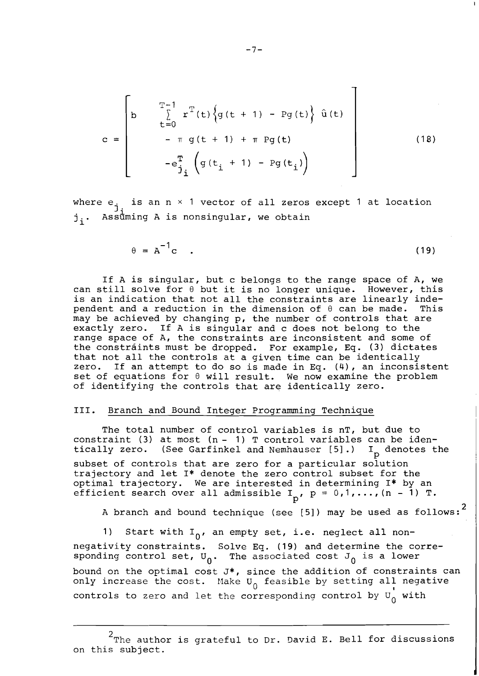$$
c = \begin{bmatrix} b & \sum_{i=0}^{T-1} r^{T}(t) \{ g(t + 1) - pg(t) \} \hat{u}(t) \\ t = 0 & -\pi g(t + 1) + \pi pg(t) \\ -e_{j}^{T} \left( g(t_{i} + 1) - pg(t_{i}) \right) \end{bmatrix}
$$
(18)

where  $\mathsf{e}_{\mathsf{i}}^{\phantom{\dag}}$  is an n × 1 vector of all zeros except 1 at location  $\mathfrak{z}_1$  $j_i$ . Assuming A is nonsingular, we obtain

$$
\theta = A^{-1}c \qquad (19)
$$

If A is singular, but c belongs to the range space of A, we can still solve for  $\theta$  but it is no longer unique. However, this is an indication that not all the constraints are linearly inde-<br>pendent and a reduction in the dimension of  $\theta$  can be made. This pendent and a reduction in the dimension of  $\theta$  can be made. may be achieved by changing p, the number of controls that are exactly zero. If A is singular and c does not belong to the range space of A, the constraints are inconsistent and some of the constraints must be dropped. For example, Eq. (3) dictates that not all the controls at a given time can be identically zero. If an attempt to do so is made in Eq. **(4),** an inconsistent set of equations for  $\theta$  will result. We now examine the problem of identifying the controls that are identically zero.

#### 111. Branch and Bound Integer Programming Technique

The total number of control variables is nT, but due to constraint (3) at most (n - 1) T control variables can be iden-<br>tically zero. (See Garfinkel and Nemhauser [5].) I<sub>n</sub> denotes the tically zero. (See Garfinkel and Nemhauser [5].) subset of controls that are zero for a particular solution trajectory and let I\* denote the zero control subset for the optimal trajectory. We are interested in determining I\* by an optimal trajectory. We are interested in determining I\* by an<br>efficient search over all admissible I <sub>p</sub>, p = 0,1,...,(n - 1) T.

A branch and bound technique (see  $[5]$ ) may be used as follows:<sup>2</sup>

1) Start with  $I_0$ , an empty set, i.e. neglect all nonnegativity constraints. Solve Eq. (19) and determine the corresponding control set,  $U_0$ . The associated cost  $J_0$  is a lower bound on the optimal cost J\*, since the addition of constraints can only increase the cost. Make U<sub>0</sub> feasible by setting all negative controls to zero and let the corresponding control by  $U_0$  with

 $2$ The author is grateful to Dr. David E. Bell for discussions on this subject.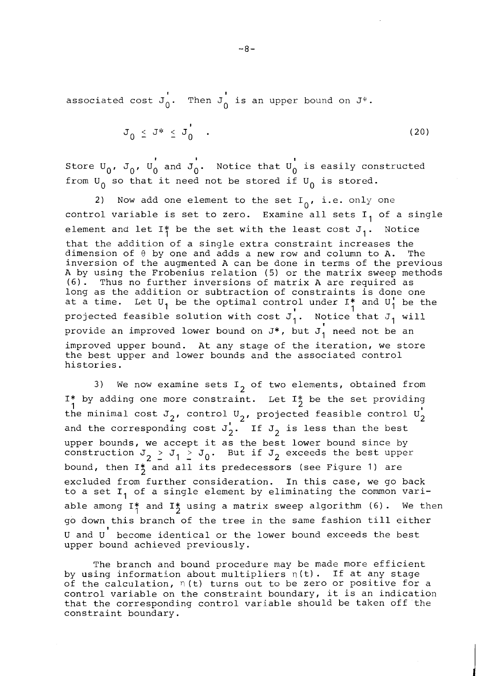associated cost  $J_0^{\prime}$ . Then  $J_0^{\prime}$  is an upper bound on  $J^*$ .

$$
\mathbf{J}_0 \leq \mathbf{J}^* \leq \mathbf{J}_0' \tag{20}
$$

Store U<sub>0</sub>, J<sub>0</sub>, U<sub>0</sub> and J<sub>0</sub>. Notice that U<sub>0</sub> is easily constructed from  $U_0$  so that it need not be stored if  $U_0$  is stored.

2) Now add one element to the set  $I_0$ , i.e. only one control variable is set to zero. Examine all sets  $I_1$  of a single element and let I<sup>\*</sup> be the set with the least cost J<sub>1</sub>. Notice that the addition of a single extra constraint increases the dimension of  $\theta$  by one and adds a new row and column to A. The inversion of the augmented A can be done in terms of the previous A by using the Frobenius relation (5) or the matrix sweep methods (6). Thus no further inversions of matrix A are required as long as the addition or subtraction of constraints is done one at a time. Let  $U_1$  be the optimal control under  $I_1^*$  and  $U_1'$  be the **I**<sub>1</sub> **I**<sub>1</sub> **1** projected feasible solution with cost  $J_1$ . Notice that  $J_1$  will provide an improved lower bound on  $J^*$ , but  $J_1$  need not be an improved upper bound. At any stage of the iteration, we store the best upper and lower bounds and the associated control histories.

3) We now examine sets  $I_2$  of two elements, obtained from I\* by adding one more constraint. Let  $I_2^*$  be the set providing the minimal cost J<sub>2</sub>, control U<sub>2</sub>, projected feasible control U<sub>2</sub> and the corresponding cost  $J'_2$ . If  $J_2$  is less than the best upper bounds, we accept it as the best lower bound since by construction  $J_2 > J_1 > J_0$ . But if  $J_2$  exceeds the best upper bound, then  $I_2^*$  and all its predecessors (see Figure 1) are excluded from further consideration. In this case, we go back to a set  $I_1$  of a single element by eliminating the common variable among  $I_1^*$  and  $I_2^*$  using a matrix sweep algorithm (6). We then go down this branch of the tree in the same fashion till either **I**  U and U become identical or the lower bound exceeds the best upper bound achieved previously.

The branch and bound procedure may be made more efficient by using information about multipliers n(t). If at any stage of the calculation,  $n(t)$  turns out to be zero or positive for a control variable on the constraint boundary, it is an indication that the corresponding control variable should be taken off the constraint boundary.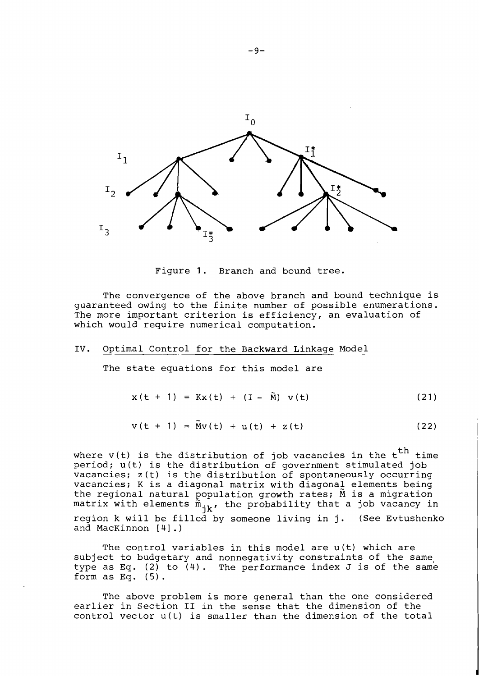

Figure 1. Branch and bound tree.

The convergence of the above branch and bound technique is guaranteed owing to the finite number of possible enumerations. The more important criterion is efficiency, an evaluation of which would require numerical computation.

#### IV. Optimal Control for the Backward Linkage Model

The state equations for this model are

$$
x(t + 1) = Kx(t) + (I - \tilde{M}) v(t)
$$
 (21)

$$
v(t + 1) = Mv(t) + u(t) + z(t)
$$
 (22)

where  $v(t)$  is the distribution of job vacancies in the  $t^{th}$  time period; u(t) is the distribution of government stimulated job vacancies; z(t) is the distribution of spontaneously occurring vacancies; **K** is a diagonal matrix with diagonal elements being the regional natural population growth rates;  $\tilde{M}$  is a migration matrix with elements  $\bar{\tilde{m}}_{ik}$ , the probability that a job vacancy in region k will be filled by someone living in j. (See Evtushenko and MacKinnon [4] . )

The control variables in this model are u(t) which are subject to budgetary and nonnegativity constraints of the same, subject to budgetary and nonnegativity constraints or the same<br>type as Eq. (2) to (4). The performance index J is of the same form as Eq. (5).

The above problem is more general than the one considered earlier in Section **I1** in the sense that the dimension of the control vector  $u(t)$  is smaller than the dimension of the total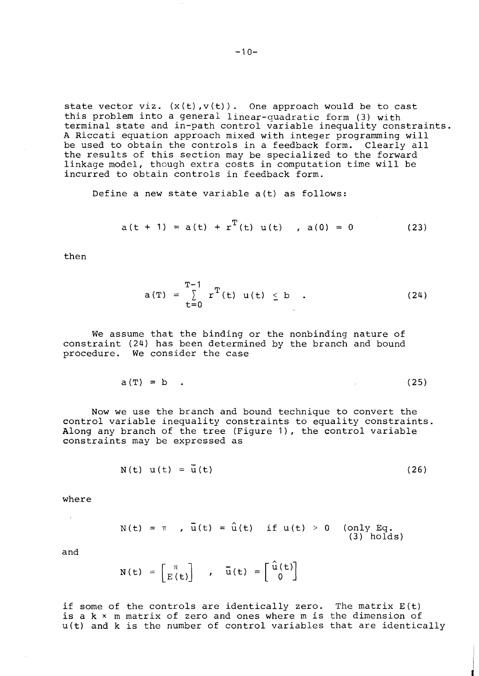state vector viz.  $(x(t),v(t))$ . One approach would be to cast this problem into a general linear-quadratic form (3) with terminal state and in-path control variable inequality constraints. A Riccati equation approach mixed with integer programming will be used to obtain the controls in a feedback form. Clearly all the results of this section may be specialized to the forward linkage model, though extra costs in computation time will be incurred to obtain controls in feedback form.

Define a new state variable a(t) as follows:

$$
a(t + 1) = a(t) + rT(t) u(t), a(0) = 0
$$
 (23)

then

$$
a(T) = \sum_{t=0}^{T-1} r^{T}(t) u(t) \leq b .
$$
 (24)

We assume that the binding or the nonbinding nature of constraint (24) has been determined by the branch and bound procedure. We consider the case

$$
a(T) = b \qquad (25)
$$

Now we use the branch and bound technique to convert the control variable inequality constraints to equality constraints. Along any branch of the tree (Figure I), the control variable constraints may be expressed as

$$
N(t) u(t) = u(t) \qquad (26)
$$

where

$$
N(t) = \pi , \bar{u}(t) = \hat{u}(t) \text{ if } u(t) > 0 \text{ (only Eq. (3) holds)}
$$

and

$$
N(t) = \begin{bmatrix} \pi \\ E(t) \end{bmatrix} , \quad \bar{u}(t) = \begin{bmatrix} \hat{u}(t) \\ 0 \end{bmatrix}
$$

if some of the controls are identically zero. The matrix E(t) is a k **x** m matrix of zero and ones where **m** is the dimension of u(t) and k is the number of control variables that are identically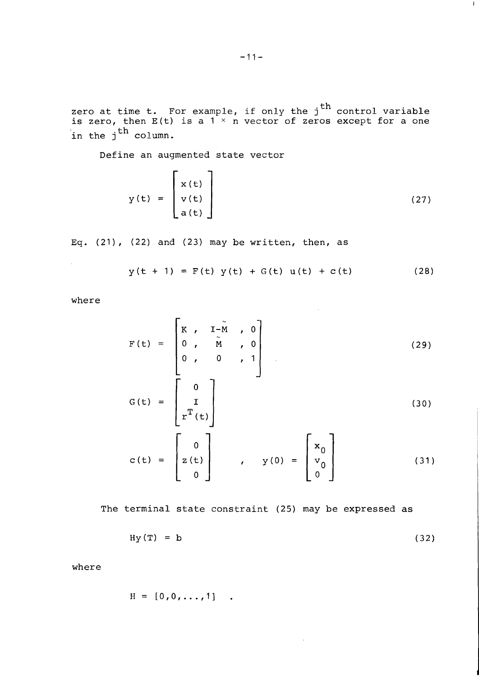zero at time t. For example, if only the  $j$ <sup>th</sup> control variable is zero, then  $E(t)$  is a  $1 \times n$  vector of zeros except for a one in the  $j^{th}$  column.

Define an augmented state vector

$$
y(t) = \begin{bmatrix} x(t) \\ v(t) \\ a(t) \end{bmatrix}
$$
 (27)

 $\mathbf{I}$ 

Eq.  $(21)$ ,  $(22)$  and  $(23)$  may be written, then, as

$$
y(t + 1) = F(t) y(t) + G(t) u(t) + c(t)
$$
 (28)

where

 $\mathcal{L}^{\mathcal{L}}$ 

$$
F(t) = \begin{bmatrix} K & , & I - \tilde{M} & , & 0 \\ 0 & , & \tilde{M} & , & 0 \\ 0 & , & 0 & , & 1 \end{bmatrix}
$$
(29)  

$$
G(t) = \begin{bmatrix} 0 \\ I \\ -T(t) \end{bmatrix}
$$
(30)

$$
c(t) = \begin{bmatrix} r^{2}(t) \\ z(t) \\ 0 \end{bmatrix}, y(0) = \begin{bmatrix} x_{0} \\ v_{0} \\ 0 \end{bmatrix}
$$
 (31)

The terminal state constraint (25) may be expressed **as** 

$$
Hy(T) = b \tag{32}
$$

 $\mathcal{L}$ 

where

$$
H = [0,0,\ldots,1]
$$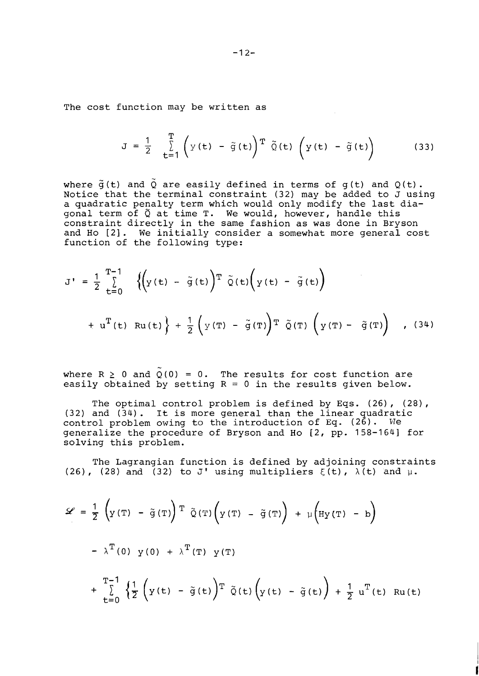The cost function may be written as

$$
J = \frac{1}{2} \sum_{t=1}^{T} \left( y(t) - \tilde{g}(t) \right)^{T} \tilde{Q}(t) \left( y(t) - \tilde{g}(t) \right)
$$
(33)

where  $\tilde{g}(t)$  and  $\tilde{Q}$  are easily defined in terms of  $g(t)$  and  $Q(t)$ .<br>Notice that the terminal constraint (32) may be added to J using a quadratic penalty term which would only modify the last diagonal term of  $\tilde{Q}$  at time T. We would, however, handle this constraint directly in the same fashion as was done in Bryson and Ho [2]. We initially consider a somewhat more general cost function of the following type:

$$
J' = \frac{1}{2} \sum_{t=0}^{T-1} \left\{ \left( y(t) - \tilde{g}(t) \right)^T \tilde{Q}(t) \left( y(t) - \tilde{g}(t) \right) + u^T(t) \operatorname{Ru}(t) \right\} + \frac{1}{2} \left( y(T) - \tilde{g}(T) \right)^T \tilde{Q}(T) \left( y(T) - \tilde{g}(T) \right) , \quad (34)
$$

where  $R \ge 0$  and  $Q(0) = 0$ . The results for cost function are easily obtained by setting  $R = 0$  in the results given below.

The optimal control problem is defined by Eqs. (26), (28), (32) and (34). It is more general than the linear quadratic control problem owing to the introduction of Eq. (26). We generalize the procedure of Bryson and Ho [2, pp. 158-164] for solving this problem.

The Lagrangian function is defined by adjoining constraints (26), (28) and (32) to J' using multipliers  $\xi(t)$ ,  $\lambda(t)$  and  $\mu$ .

$$
\mathcal{L} = \frac{1}{2} \left( y(T) - \tilde{g}(T) \right)^T \tilde{Q}(T) \left( y(T) - \tilde{g}(T) \right) + \mu \left( H y(T) - b \right)
$$

$$
- \lambda^T(0) y(0) + \lambda^T(T) y(T)
$$

$$
+ \sum_{t=0}^{T-1} \left\{ \frac{1}{2} \left( y(t) - \tilde{g}(t) \right)^T \tilde{Q}(t) \left( y(t) - \tilde{g}(t) \right) + \frac{1}{2} u^T(t) Ru(t) \right\}
$$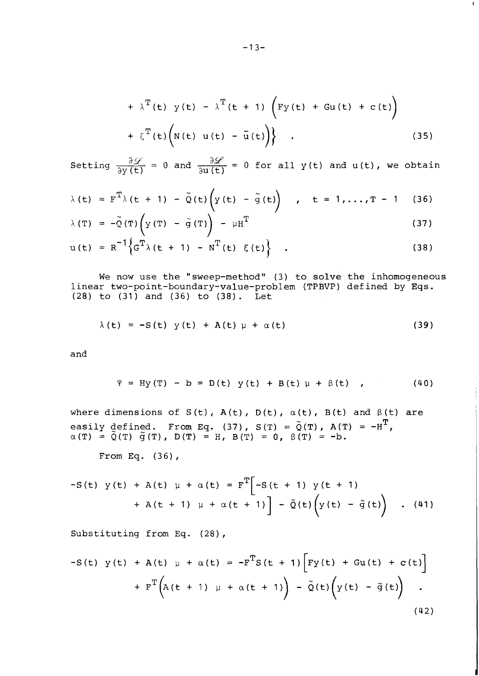+ 
$$
\lambda^T(t) y(t) - \lambda^T(t + 1) \left( Fy(t) + Gu(t) + c(t) \right)
$$
  
+  $\xi^T(t) \left( N(t) u(t) - \bar{u}(t) \right)$  (35)

 $\mathbf{I}$ 

Setting  $\frac{\partial \mathscr{L}}{\partial y(t)} = 0$  and  $\frac{\partial \mathscr{L}}{\partial u(t)} = 0$  for all  $y(t)$  and  $u(t)$ , we obtain

$$
\lambda(t) = F^{T} \lambda(t + 1) - \tilde{Q}(t) \left( Y(t) - \tilde{g}(t) \right) , \quad t = 1,...,T - 1 \quad (36)
$$

$$
\lambda(T) = -\tilde{Q}(T) \left( Y(T) - \tilde{g}(T) \right) - \mu H^{T}
$$
 (37)

$$
u(t) = R^{-1}\Big\{G^{T}\lambda(t + 1) - N^{T}(t) \xi(t)\Big\} \quad .
$$
 (38)

We now use the "sweep-method" (3) to solve the inhomogeneous linear two-point-boundary-value-problem (TPBVP) defined by **Eqs.**  (28) to (31) and (36) to (38). Let

$$
\lambda(t) = -S(t) y(t) + A(t) \mu + \alpha(t) \qquad (39)
$$

and

$$
\Psi = Hy(T) - b = D(t) y(t) + B(t) \mu + \beta(t) , \qquad (40)
$$

where dimensions of  $S(t)$ ,  $A(t)$ ,  $D(t)$ ,  $\alpha(t)$ ,  $B(t)$  and  $\beta(t)$  are easily defined. From Eq. (37), S(T) =  $\tilde{Q}(T)$ , A(T) =  $-H^T$ ,  $\alpha(T) = \tilde{Q}(T)$   $\tilde{g}(T)$ , D(T) = H, B(T) = 0,  $\beta(T) = -b$ .

From **Eq.** (36),

$$
-S(t) y(t) + A(t) \mu + \alpha(t) = F^{T} \Big[ -S(t + 1) y(t + 1) + A(t + 1) \mu + \alpha(t + 1) \Big] - \tilde{Q}(t) \Big( y(t) - \tilde{g}(t) \Big) \quad . \tag{41}
$$

Substituting from **Eq.** (28),

$$
-S(t) y(t) + A(t) \mu + \alpha(t) = -F^{T}S(t + 1) \Big[ Fy(t) + Gu(t) + c(t) \Big] + F^{T} \Big( A(t + 1) \mu + \alpha(t + 1) \Big) - \tilde{Q}(t) \Big( y(t) - \tilde{g}(t) \Big) .
$$
\n(42)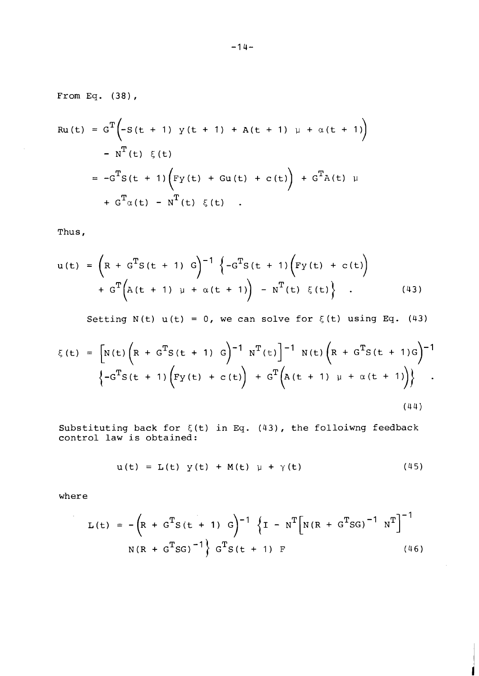From **Eq.** (38),

$$
Ru(t) = G^{T}(-S(t + 1) y(t + 1) + A(t + 1) \mu + \alpha(t + 1))
$$
  
\n
$$
- N^{T}(t) \xi(t)
$$
  
\n
$$
= -G^{T}S(t + 1) (Fy(t) + Gu(t) + c(t)) + G^{T}A(t) \mu
$$
  
\n
$$
+ G^{T}(\alpha(t) - N^{T}(t) \xi(t)).
$$

Thus,

$$
u(t) = \left(R + G^{T}S(t + 1) G\right)^{-1} \left\{-G^{T}S(t + 1) \left(Fy(t) + c(t)\right) + G^{T}\left(A(t + 1) \mu + \alpha(t + 1)\right) - N^{T}(t) \xi(t)\right\}.
$$
 (43)

Setting N(t)  $u(t) = 0$ , we can solve for  $\xi(t)$  using Eq. (43)

$$
\xi(t) = \left[ N(t) \left( R + G^{T} S(t + 1) G \right)^{-1} N^{T}(t) \right]^{-1} N(t) \left( R + G^{T} S(t + 1) G \right)^{-1}
$$

$$
\left\{ -G^{T} S(t + 1) \left( F y(t) + c(t) \right) + G^{T} \left( A(t + 1) \mu + \alpha(t + 1) \right) \right\}.
$$

$$
(44)
$$

Substituting back for S(t) in **Eq.** (43), the folloiwng feedback control law is obtained:

$$
u(t) = L(t) y(t) + M(t) \mu + \gamma(t)
$$
 (45)

where

 $\sim 10^{11}$ 

$$
L(t) = -\left(R + G^{T}S(t + 1) G\right)^{-1} \left\{I - N^{T}\left[N(R + G^{T}SG)^{-1} N^{T}\right]^{-1} \right\}
$$
  

$$
N(R + G^{T}SG)^{-1} \left\{G^{T}S(t + 1) F\right\}
$$
 (46)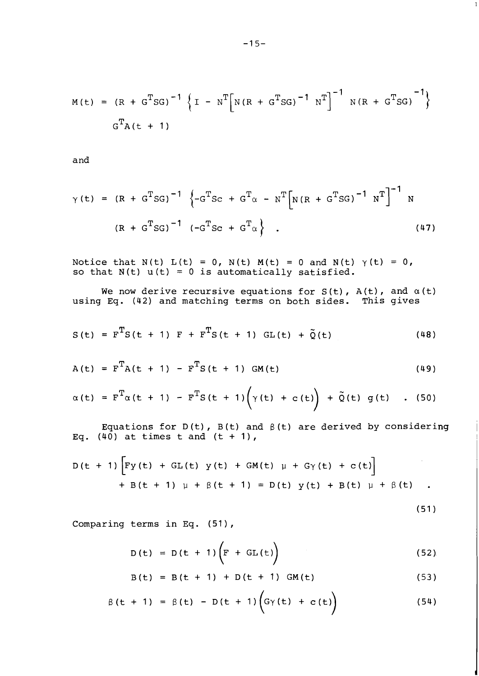$$
M(t) = (R + G^{T}SG)^{-1} \left\{ I - N^{T} [N(R + G^{T}SG)^{-1} N^{T}]^{-1} N(R + G^{T}SG)^{-1} \right\}
$$
  

$$
G^{T}A(t + 1)
$$

and

$$
\gamma(t) = (R + G^{T}SG)^{-1} \left\{-G^{T}Sc + G^{T} \alpha - N^{T} \left[N(R + G^{T}SG)^{-1} N^{T}\right]^{-1} N\right\}
$$
  

$$
(R + G^{T}SG)^{-1} (-G^{T} Sc + G^{T} \alpha) .
$$
 (47)

Notice that N(t) L(t) = 0, N(t) M(t) = 0 and N(t)  $\gamma$ (t) = 0, so that  $N(t)$  u(t) = 0 is automatically satisfied.

We now derive recursive equations for  $S(t)$ ,  $A(t)$ , and  $\alpha(t)$ using Eq. (42) and matching terms on both sides. This gives

$$
S(t) = F^{T}S(t + 1) F + F^{T}S(t + 1) GL(t) + \tilde{Q}(t)
$$
 (48)

$$
A(t) = F^{T}A(t + 1) - F^{T}S(t + 1) GM(t)
$$
 (49)

$$
\alpha(t) = F^{T} \alpha(t + 1) - F^{T} S(t + 1) (\gamma(t) + c(t)) + \tilde{Q}(t) g(t)
$$
 (50)

Equations for  $D(t)$ ,  $B(t)$  and  $\beta(t)$  are derived by considering Eq. (40) at times t and (t + 1),

$$
D(t + 1) \left[ Fy(t) + GL(t) y(t) + GM(t) \mu + G\gamma(t) + c(t) \right]
$$
  
+ B(t + 1) \mu + \beta(t + 1) = D(t) y(t) + B(t) \mu + \beta(t) .

(51

 $\mathbf{l}$ 

Comparing terms in Eq. (51),

$$
D(t) = D(t + 1) \left( F + GL(t) \right)
$$
 (52)

$$
B(t) = B(t + 1) + D(t + 1) \, GM(t) \tag{53}
$$

$$
\beta(t + 1) = \beta(t) - D(t + 1) \Big( G\gamma(t) + c(t) \Big)
$$
 (54)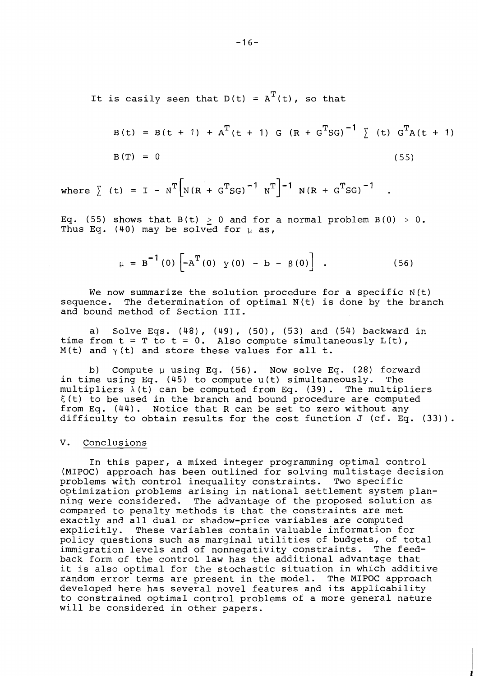It is easily seen that  $D(t) = A<sup>T</sup>(t)$ , so that

$$
B(t) = B(t + 1) + A^{T}(t + 1) G (R + G^{T}SG)^{-1} \t t G^{T}A(t + 1)
$$
  

$$
B(T) = 0
$$
 (55)

where  $\int_{C} (t) = I - N^{T} \left[ N(R + G^{T}SG)^{-1} N^{T} \right]^{-1} N(R + G^{T}SG)^{-1}$ .

Eq. (55) shows that  $B(t) > 0$  and for a normal problem  $B(0) > 0$ . Thus Eq.  $(40)$  may be solved for  $\mu$  as,

$$
\mu = B^{-1}(0) \left[ -A^{T}(0) \quad y(0) - b - \beta(0) \right] \quad . \tag{56}
$$

We now summarize the solution procedure for a specific  $N(t)$ sequence. The determination of optimal N(t) is done by the branch and bound method of Section 111.

a) Solve Eqs. (48), (49), (50), (53) and (54) backward in time from  $t = T$  to  $t = 0$ . Also compute simultaneously  $L(t)$ , M(t) and  $\gamma$ (t) and store these values for all t.

b) Compute µ using Eq. (56). Now solve Eq. (28) forward<br>me using Eq. (45) to compute u(t) simultaneously. The in time using Eq. (45) to compute  $u(t)$  simultaneously. multipliers  $\lambda$  (t) can be computed from Eq. (39). The multipliers  $\xi(t)$  to be used in the branch and bound procedure are computed from Eq. (44). Notice that R can be set to zero without any difficulty to obtain results for the cost function J (cf. Eq. (33)).

#### V. Conclusions

In this paper, a mixed integer programming optimal control (MIPOC) approach has been outlined for solving multistage decision problems with control inequality constraints. Two specific optimization problems arising in national settlement system planning were considered. The advantage of the proposed solution as compared to penalty methods is that the constraints are met exactly and all dual or shadow-price variables are computed explicitly. These variables contain valuable information for policy questions such as marginal utilities of budgets, of total immigration levels and of nonnegativity constraints. The feedback form of the control law has the additional advantage that it is also optimal for the stochastic situation in which additive random error terms are present in the model. The MIPOC approach developed here has several novel features and its applicability to constrained optimal control problems of a more general nature will be considered in other papers.